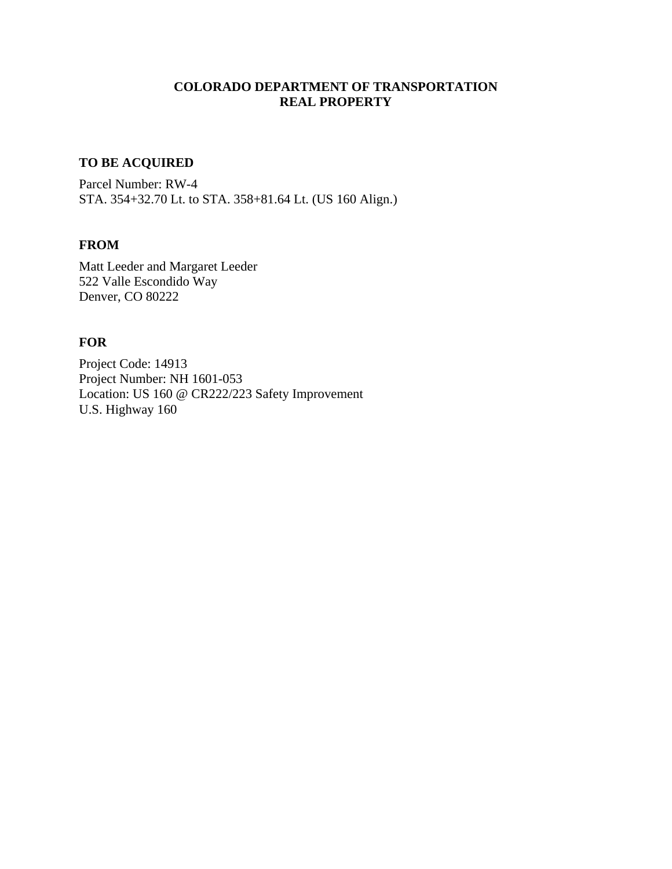## **COLORADO DEPARTMENT OF TRANSPORTATION REAL PROPERTY**

# **TO BE ACQUIRED**

Parcel Number: RW-4 STA. 354+32.70 Lt. to STA. 358+81.64 Lt. (US 160 Align.)

## **FROM**

Matt Leeder and Margaret Leeder 522 Valle Escondido Way Denver, CO 80222

#### **FOR**

Project Code: 14913 Project Number: NH 1601-053 Location: US 160 @ CR222/223 Safety Improvement U.S. Highway 160